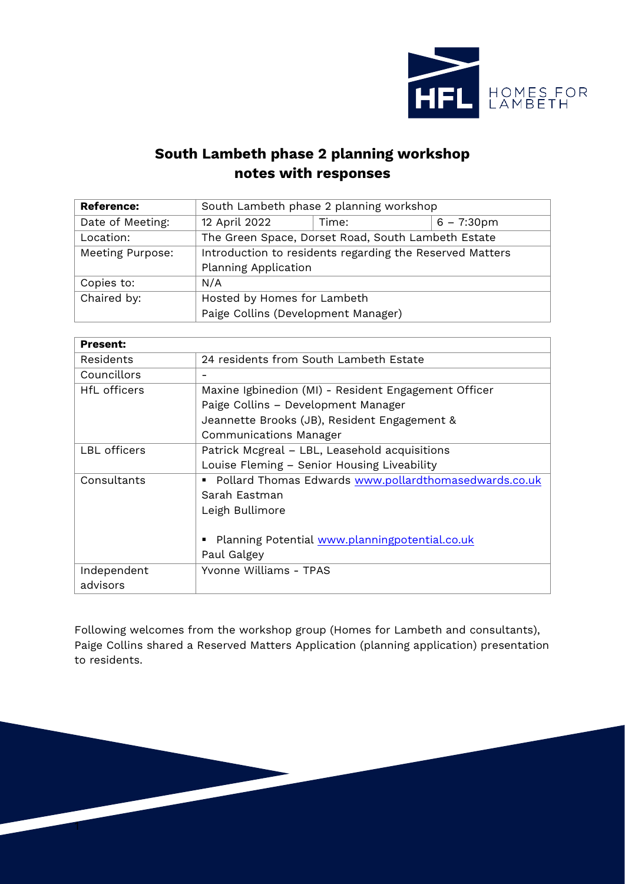

## **South Lambeth phase 2 planning workshop notes with responses**

| <b>Reference:</b> | South Lambeth phase 2 planning workshop                  |       |                      |
|-------------------|----------------------------------------------------------|-------|----------------------|
| Date of Meeting:  | 12 April 2022                                            | Time: | $6 - 7:30 \text{pm}$ |
| Location:         | The Green Space, Dorset Road, South Lambeth Estate       |       |                      |
| Meeting Purpose:  | Introduction to residents regarding the Reserved Matters |       |                      |
|                   | <b>Planning Application</b>                              |       |                      |
| Copies to:        | N/A                                                      |       |                      |
| Chaired by:       | Hosted by Homes for Lambeth                              |       |                      |
|                   | Paige Collins (Development Manager)                      |       |                      |

| <b>Present:</b> |                                                             |
|-----------------|-------------------------------------------------------------|
| Residents       | 24 residents from South Lambeth Estate                      |
| Councillors     |                                                             |
| HfL officers    | Maxine Igbinedion (MI) - Resident Engagement Officer        |
|                 | Paige Collins - Development Manager                         |
|                 | Jeannette Brooks (JB), Resident Engagement &                |
|                 | Communications Manager                                      |
| LBL officers    | Patrick Mcgreal - LBL, Leasehold acquisitions               |
|                 | Louise Fleming - Senior Housing Liveability                 |
| Consultants     | Pollard Thomas Edwards www.pollardthomasedwards.co.uk<br>٠. |
|                 | Sarah Eastman                                               |
|                 | Leigh Bullimore                                             |
|                 |                                                             |
|                 | Planning Potential www.planningpotential.co.uk<br>٠         |
|                 | Paul Galgey                                                 |
| Independent     | Yvonne Williams - TPAS                                      |
| advisors        |                                                             |

Following welcomes from the workshop group (Homes for Lambeth and consultants), Paige Collins shared a Reserved Matters Application (planning application) presentation to residents.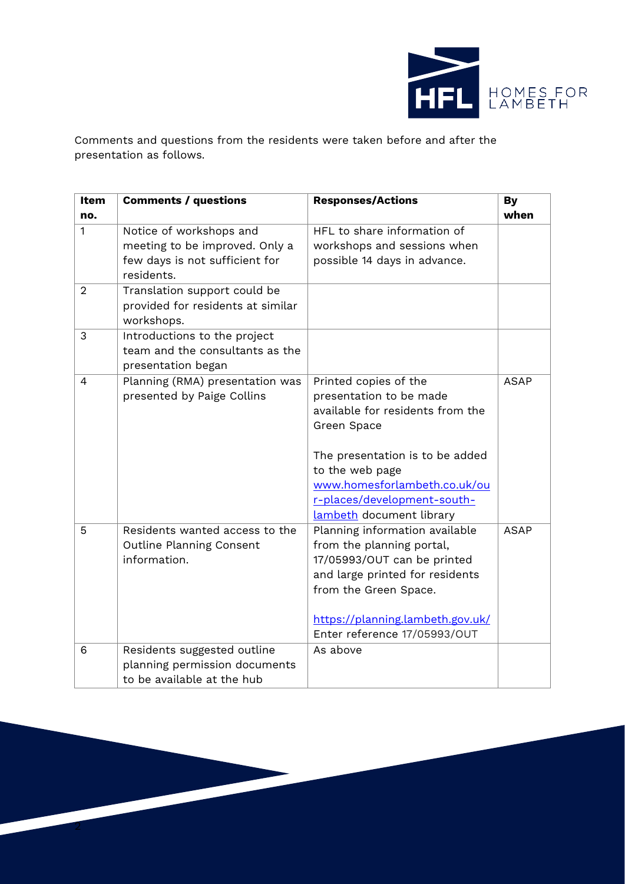

Comments and questions from the residents were taken before and after the presentation as follows.

| <b>Item</b>    | <b>Comments / questions</b>       | <b>Responses/Actions</b>         | <b>By</b>   |
|----------------|-----------------------------------|----------------------------------|-------------|
| no.            |                                   |                                  | when        |
| $\mathbf{1}$   | Notice of workshops and           | HFL to share information of      |             |
|                | meeting to be improved. Only a    | workshops and sessions when      |             |
|                | few days is not sufficient for    | possible 14 days in advance.     |             |
|                | residents.                        |                                  |             |
| $\overline{2}$ | Translation support could be      |                                  |             |
|                | provided for residents at similar |                                  |             |
|                | workshops.                        |                                  |             |
| 3              | Introductions to the project      |                                  |             |
|                | team and the consultants as the   |                                  |             |
|                | presentation began                |                                  |             |
| $\overline{4}$ | Planning (RMA) presentation was   | Printed copies of the            | <b>ASAP</b> |
|                | presented by Paige Collins        | presentation to be made          |             |
|                |                                   | available for residents from the |             |
|                |                                   | Green Space                      |             |
|                |                                   | The presentation is to be added  |             |
|                |                                   | to the web page                  |             |
|                |                                   | www.homesforlambeth.co.uk/ou     |             |
|                |                                   | r-places/development-south-      |             |
|                |                                   | lambeth document library         |             |
| 5              | Residents wanted access to the    | Planning information available   | <b>ASAP</b> |
|                | Outline Planning Consent          | from the planning portal,        |             |
|                | information.                      | 17/05993/OUT can be printed      |             |
|                |                                   | and large printed for residents  |             |
|                |                                   | from the Green Space.            |             |
|                |                                   | https://planning.lambeth.gov.uk/ |             |
|                |                                   | Enter reference 17/05993/OUT     |             |
| 6              | Residents suggested outline       | As above                         |             |
|                | planning permission documents     |                                  |             |
|                | to be available at the hub        |                                  |             |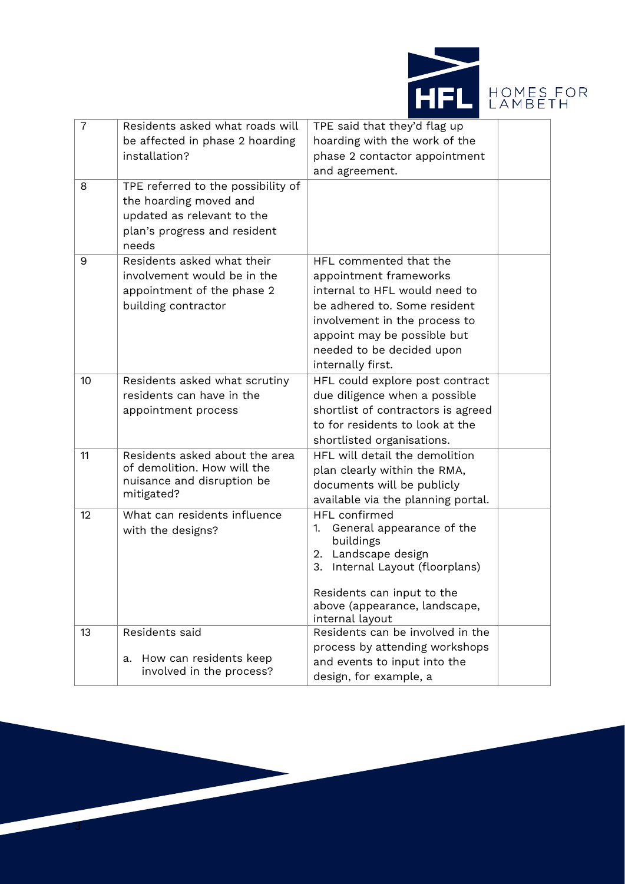



| $\overline{7}$ | Residents asked what roads will<br>be affected in phase 2 hoarding<br>installation?                                                 | TPE said that they'd flag up<br>hoarding with the work of the<br>phase 2 contactor appointment<br>and agreement.                                                                                                                    |  |
|----------------|-------------------------------------------------------------------------------------------------------------------------------------|-------------------------------------------------------------------------------------------------------------------------------------------------------------------------------------------------------------------------------------|--|
| 8              | TPE referred to the possibility of<br>the hoarding moved and<br>updated as relevant to the<br>plan's progress and resident<br>needs |                                                                                                                                                                                                                                     |  |
| 9              | Residents asked what their<br>involvement would be in the<br>appointment of the phase 2<br>building contractor                      | HFL commented that the<br>appointment frameworks<br>internal to HFL would need to<br>be adhered to. Some resident<br>involvement in the process to<br>appoint may be possible but<br>needed to be decided upon<br>internally first. |  |
| 10             | Residents asked what scrutiny<br>residents can have in the<br>appointment process                                                   | HFL could explore post contract<br>due diligence when a possible<br>shortlist of contractors is agreed<br>to for residents to look at the<br>shortlisted organisations.                                                             |  |
| 11             | Residents asked about the area<br>of demolition. How will the<br>nuisance and disruption be<br>mitigated?                           | HFL will detail the demolition<br>plan clearly within the RMA,<br>documents will be publicly<br>available via the planning portal.                                                                                                  |  |
| 12             | What can residents influence<br>with the designs?                                                                                   | <b>HFL</b> confirmed<br>General appearance of the<br>1.<br>buildings<br>2. Landscape design<br>3.<br>Internal Layout (floorplans)<br>Residents can input to the<br>above (appearance, landscape,<br>internal layout                 |  |
| 13             | Residents said<br>How can residents keep<br>a.<br>involved in the process?                                                          | Residents can be involved in the<br>process by attending workshops<br>and events to input into the<br>design, for example, a                                                                                                        |  |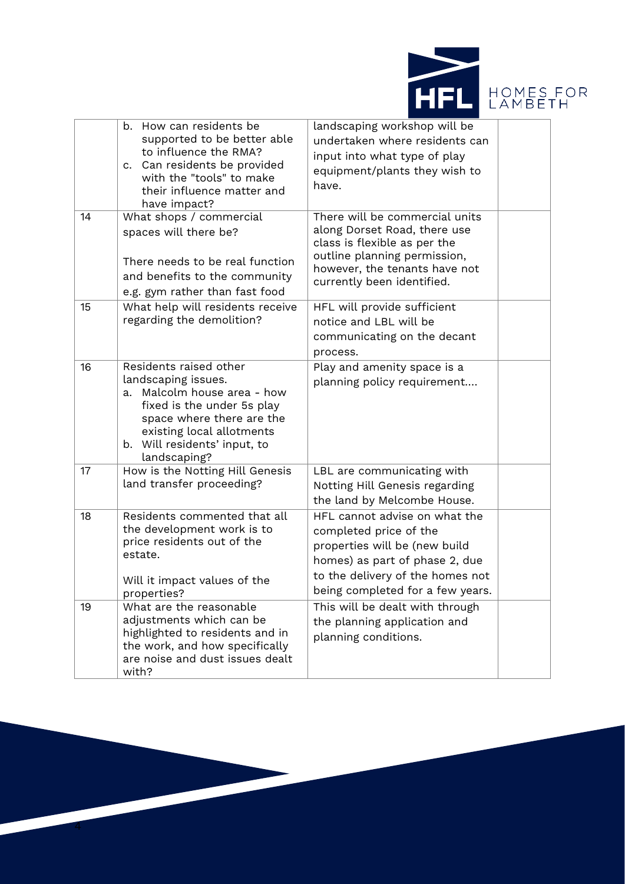



|    | b. How can residents be<br>supported to be better able<br>to influence the RMA?<br>c. Can residents be provided<br>with the "tools" to make<br>their influence matter and<br>have impact?                               | landscaping workshop will be<br>undertaken where residents can<br>input into what type of play<br>equipment/plants they wish to<br>have.                                                           |  |
|----|-------------------------------------------------------------------------------------------------------------------------------------------------------------------------------------------------------------------------|----------------------------------------------------------------------------------------------------------------------------------------------------------------------------------------------------|--|
| 14 | What shops / commercial<br>spaces will there be?<br>There needs to be real function<br>and benefits to the community<br>e.g. gym rather than fast food                                                                  | There will be commercial units<br>along Dorset Road, there use<br>class is flexible as per the<br>outline planning permission,<br>however, the tenants have not<br>currently been identified.      |  |
| 15 | What help will residents receive<br>regarding the demolition?                                                                                                                                                           | HFL will provide sufficient<br>notice and LBL will be<br>communicating on the decant<br>process.                                                                                                   |  |
| 16 | Residents raised other<br>landscaping issues.<br>Malcolm house area - how<br>a.<br>fixed is the under 5s play<br>space where there are the<br>existing local allotments<br>b. Will residents' input, to<br>landscaping? | Play and amenity space is a<br>planning policy requirement                                                                                                                                         |  |
| 17 | How is the Notting Hill Genesis<br>land transfer proceeding?                                                                                                                                                            | LBL are communicating with<br>Notting Hill Genesis regarding<br>the land by Melcombe House.                                                                                                        |  |
| 18 | Residents commented that all<br>the development work is to<br>price residents out of the<br>estate.<br>Will it impact values of the<br>properties?                                                                      | HFL cannot advise on what the<br>completed price of the<br>properties will be (new build<br>homes) as part of phase 2, due<br>to the delivery of the homes not<br>being completed for a few years. |  |
| 19 | What are the reasonable<br>adjustments which can be<br>highlighted to residents and in<br>the work, and how specifically<br>are noise and dust issues dealt<br>with?                                                    | This will be dealt with through<br>the planning application and<br>planning conditions.                                                                                                            |  |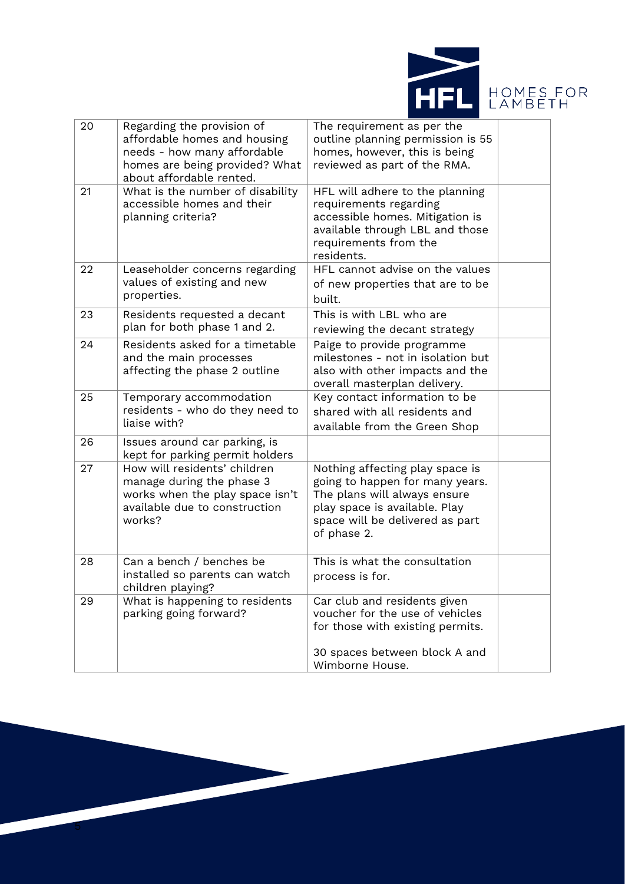



| 20 | Regarding the provision of<br>affordable homes and housing<br>needs - how many affordable<br>homes are being provided? What<br>about affordable rented. | The requirement as per the<br>outline planning permission is 55<br>homes, however, this is being<br>reviewed as part of the RMA.                                                      |  |
|----|---------------------------------------------------------------------------------------------------------------------------------------------------------|---------------------------------------------------------------------------------------------------------------------------------------------------------------------------------------|--|
| 21 | What is the number of disability<br>accessible homes and their<br>planning criteria?                                                                    | HFL will adhere to the planning<br>requirements regarding<br>accessible homes. Mitigation is<br>available through LBL and those<br>requirements from the<br>residents.                |  |
| 22 | Leaseholder concerns regarding<br>values of existing and new<br>properties.                                                                             | HFL cannot advise on the values<br>of new properties that are to be<br>built.                                                                                                         |  |
| 23 | Residents requested a decant<br>plan for both phase 1 and 2.                                                                                            | This is with LBL who are<br>reviewing the decant strategy                                                                                                                             |  |
| 24 | Residents asked for a timetable<br>and the main processes<br>affecting the phase 2 outline                                                              | Paige to provide programme<br>milestones - not in isolation but<br>also with other impacts and the<br>overall masterplan delivery.                                                    |  |
| 25 | Temporary accommodation<br>residents - who do they need to<br>liaise with?                                                                              | Key contact information to be<br>shared with all residents and<br>available from the Green Shop                                                                                       |  |
| 26 | Issues around car parking, is<br>kept for parking permit holders                                                                                        |                                                                                                                                                                                       |  |
| 27 | How will residents' children<br>manage during the phase 3<br>works when the play space isn't<br>available due to construction<br>works?                 | Nothing affecting play space is<br>going to happen for many years.<br>The plans will always ensure<br>play space is available. Play<br>space will be delivered as part<br>of phase 2. |  |
| 28 | Can a bench / benches be<br>installed so parents can watch<br>children playing?                                                                         | This is what the consultation<br>process is for.                                                                                                                                      |  |
| 29 | What is happening to residents<br>parking going forward?                                                                                                | Car club and residents given<br>voucher for the use of vehicles<br>for those with existing permits.<br>30 spaces between block A and                                                  |  |
|    |                                                                                                                                                         | Wimborne House.                                                                                                                                                                       |  |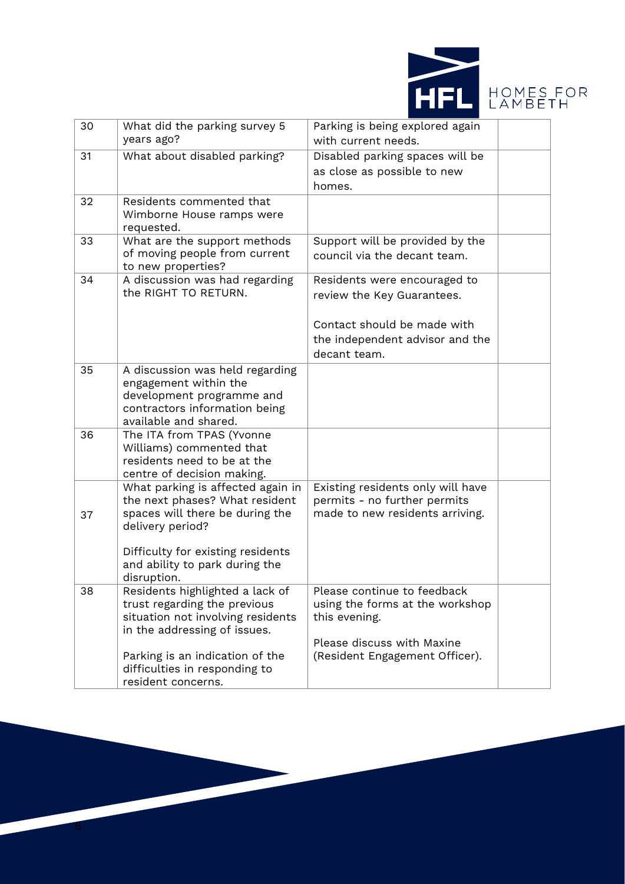

| 30 | What did the parking survey 5                                       | Parking is being explored again                                   |  |
|----|---------------------------------------------------------------------|-------------------------------------------------------------------|--|
|    | years ago?                                                          | with current needs.                                               |  |
| 31 | What about disabled parking?                                        | Disabled parking spaces will be                                   |  |
|    |                                                                     | as close as possible to new                                       |  |
|    |                                                                     | homes.                                                            |  |
| 32 | Residents commented that                                            |                                                                   |  |
|    | Wimborne House ramps were                                           |                                                                   |  |
|    | requested.                                                          |                                                                   |  |
| 33 | What are the support methods                                        | Support will be provided by the                                   |  |
|    | of moving people from current<br>to new properties?                 | council via the decant team.                                      |  |
| 34 | A discussion was had regarding                                      | Residents were encouraged to                                      |  |
|    | the RIGHT TO RETURN.                                                | review the Key Guarantees.                                        |  |
|    |                                                                     |                                                                   |  |
|    |                                                                     | Contact should be made with                                       |  |
|    |                                                                     | the independent advisor and the                                   |  |
|    |                                                                     | decant team.                                                      |  |
| 35 | A discussion was held regarding                                     |                                                                   |  |
|    | engagement within the                                               |                                                                   |  |
|    | development programme and                                           |                                                                   |  |
|    | contractors information being                                       |                                                                   |  |
|    | available and shared.                                               |                                                                   |  |
| 36 | The ITA from TPAS (Yvonne                                           |                                                                   |  |
|    | Williams) commented that                                            |                                                                   |  |
|    | residents need to be at the                                         |                                                                   |  |
|    | centre of decision making.                                          |                                                                   |  |
|    | What parking is affected again in<br>the next phases? What resident | Existing residents only will have<br>permits - no further permits |  |
| 37 | spaces will there be during the                                     | made to new residents arriving.                                   |  |
|    | delivery period?                                                    |                                                                   |  |
|    |                                                                     |                                                                   |  |
|    | Difficulty for existing residents                                   |                                                                   |  |
|    | and ability to park during the                                      |                                                                   |  |
|    | disruption.                                                         |                                                                   |  |
| 38 | Residents highlighted a lack of                                     | Please continue to feedback                                       |  |
|    | trust regarding the previous                                        | using the forms at the workshop<br>this evening.                  |  |
|    | situation not involving residents<br>in the addressing of issues.   |                                                                   |  |
|    |                                                                     | Please discuss with Maxine                                        |  |
|    | Parking is an indication of the                                     | (Resident Engagement Officer).                                    |  |
|    | difficulties in responding to                                       |                                                                   |  |
|    | resident concerns.                                                  |                                                                   |  |